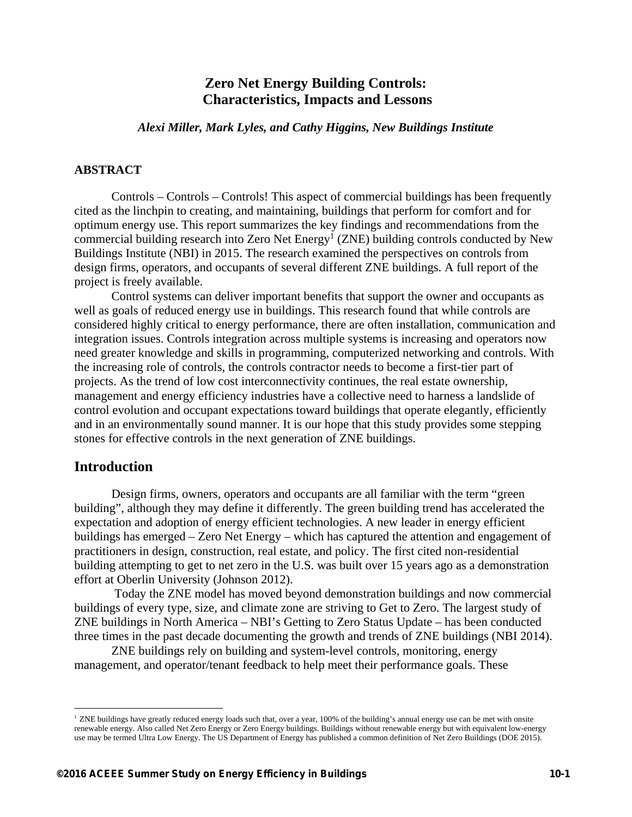# **Zero Net Energy Building Controls: Characteristics, Impacts and Lessons**

*Alexi Miller, Mark Lyles, and Cathy Higgins, New Buildings Institute* 

## **ABSTRACT**

Controls – Controls – Controls! This aspect of commercial buildings has been frequently cited as the linchpin to creating, and maintaining, buildings that perform for comfort and for optimum energy use. This report summarizes the key findings and recommendations from the commercial building research into Zero Net Energy<sup>1</sup> (ZNE) building controls conducted by New Buildings Institute (NBI) in 2015. The research examined the perspectives on controls from design firms, operators, and occupants of several different ZNE buildings. A full report of the project is freely available.

Control systems can deliver important benefits that support the owner and occupants as well as goals of reduced energy use in buildings. This research found that while controls are considered highly critical to energy performance, there are often installation, communication and integration issues. Controls integration across multiple systems is increasing and operators now need greater knowledge and skills in programming, computerized networking and controls. With the increasing role of controls, the controls contractor needs to become a first-tier part of projects. As the trend of low cost interconnectivity continues, the real estate ownership, management and energy efficiency industries have a collective need to harness a landslide of control evolution and occupant expectations toward buildings that operate elegantly, efficiently and in an environmentally sound manner. It is our hope that this study provides some stepping stones for effective controls in the next generation of ZNE buildings.

## **Introduction**

 $\overline{a}$ 

Design firms, owners, operators and occupants are all familiar with the term "green building", although they may define it differently. The green building trend has accelerated the expectation and adoption of energy efficient technologies. A new leader in energy efficient buildings has emerged – Zero Net Energy – which has captured the attention and engagement of practitioners in design, construction, real estate, and policy. The first cited non-residential building attempting to get to net zero in the U.S. was built over 15 years ago as a demonstration effort at Oberlin University (Johnson 2012).

 Today the ZNE model has moved beyond demonstration buildings and now commercial buildings of every type, size, and climate zone are striving to Get to Zero. The largest study of ZNE buildings in North America – NBI's Getting to Zero Status Update – has been conducted three times in the past decade documenting the growth and trends of ZNE buildings (NBI 2014).

ZNE buildings rely on building and system-level controls, monitoring, energy management, and operator/tenant feedback to help meet their performance goals. These

<sup>&</sup>lt;sup>1</sup> ZNE buildings have greatly reduced energy loads such that, over a year, 100% of the building's annual energy use can be met with onsite renewable energy. Also called Net Zero Energy or Zero Energy buildings. Buildings without renewable energy but with equivalent low-energy use may be termed Ultra Low Energy. The US Department of Energy has published a common definition of Net Zero Buildings (DOE 2015).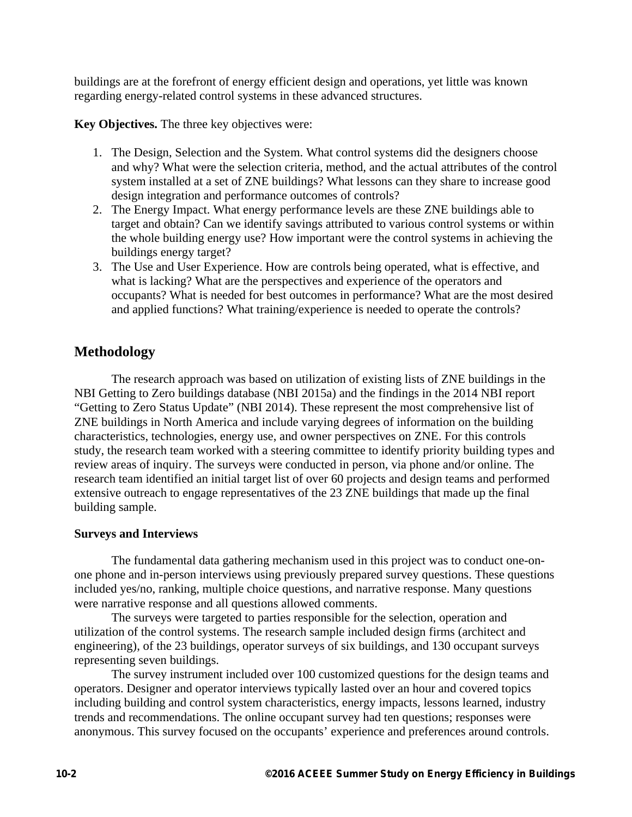buildings are at the forefront of energy efficient design and operations, yet little was known regarding energy-related control systems in these advanced structures.

**Key Objectives.** The three key objectives were:

- 1. The Design, Selection and the System. What control systems did the designers choose and why? What were the selection criteria, method, and the actual attributes of the control system installed at a set of ZNE buildings? What lessons can they share to increase good design integration and performance outcomes of controls?
- 2. The Energy Impact. What energy performance levels are these ZNE buildings able to target and obtain? Can we identify savings attributed to various control systems or within the whole building energy use? How important were the control systems in achieving the buildings energy target?
- 3. The Use and User Experience. How are controls being operated, what is effective, and what is lacking? What are the perspectives and experience of the operators and occupants? What is needed for best outcomes in performance? What are the most desired and applied functions? What training/experience is needed to operate the controls?

# **Methodology**

The research approach was based on utilization of existing lists of ZNE buildings in the NBI Getting to Zero buildings database (NBI 2015a) and the findings in the 2014 NBI report "Getting to Zero Status Update" (NBI 2014). These represent the most comprehensive list of ZNE buildings in North America and include varying degrees of information on the building characteristics, technologies, energy use, and owner perspectives on ZNE. For this controls study, the research team worked with a steering committee to identify priority building types and review areas of inquiry. The surveys were conducted in person, via phone and/or online. The research team identified an initial target list of over 60 projects and design teams and performed extensive outreach to engage representatives of the 23 ZNE buildings that made up the final building sample.

## **Surveys and Interviews**

The fundamental data gathering mechanism used in this project was to conduct one-onone phone and in-person interviews using previously prepared survey questions. These questions included yes/no, ranking, multiple choice questions, and narrative response. Many questions were narrative response and all questions allowed comments.

The surveys were targeted to parties responsible for the selection, operation and utilization of the control systems. The research sample included design firms (architect and engineering), of the 23 buildings, operator surveys of six buildings, and 130 occupant surveys representing seven buildings.

The survey instrument included over 100 customized questions for the design teams and operators. Designer and operator interviews typically lasted over an hour and covered topics including building and control system characteristics, energy impacts, lessons learned, industry trends and recommendations. The online occupant survey had ten questions; responses were anonymous. This survey focused on the occupants' experience and preferences around controls.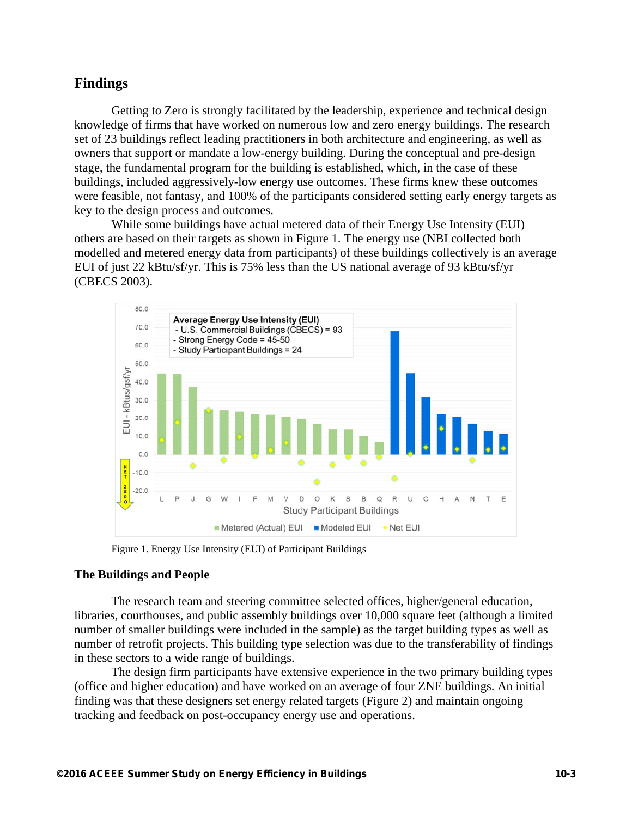## **Findings**

Getting to Zero is strongly facilitated by the leadership, experience and technical design knowledge of firms that have worked on numerous low and zero energy buildings. The research set of 23 buildings reflect leading practitioners in both architecture and engineering, as well as owners that support or mandate a low-energy building. During the conceptual and pre-design stage, the fundamental program for the building is established, which, in the case of these buildings, included aggressively-low energy use outcomes. These firms knew these outcomes were feasible, not fantasy, and 100% of the participants considered setting early energy targets as key to the design process and outcomes.

While some buildings have actual metered data of their Energy Use Intensity (EUI) others are based on their targets as shown in Figure 1. The energy use (NBI collected both modelled and metered energy data from participants) of these buildings collectively is an average EUI of just 22 kBtu/sf/yr. This is 75% less than the US national average of 93 kBtu/sf/yr (CBECS 2003).



Figure 1. Energy Use Intensity (EUI) of Participant Buildings

## **The Buildings and People**

The research team and steering committee selected offices, higher/general education, libraries, courthouses, and public assembly buildings over 10,000 square feet (although a limited number of smaller buildings were included in the sample) as the target building types as well as number of retrofit projects. This building type selection was due to the transferability of findings in these sectors to a wide range of buildings.

The design firm participants have extensive experience in the two primary building types (office and higher education) and have worked on an average of four ZNE buildings. An initial finding was that these designers set energy related targets (Figure 2) and maintain ongoing tracking and feedback on post-occupancy energy use and operations.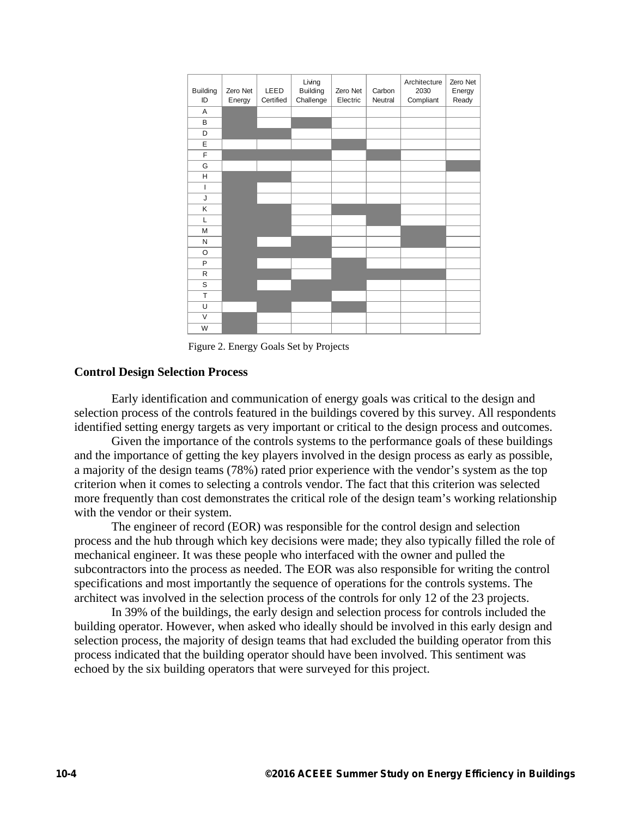| <b>Building</b> | Zero Net | LEED      | Living<br><b>Building</b> | Zero Net | Carbon  | Architecture<br>2030 | Zero Net<br>Energy |
|-----------------|----------|-----------|---------------------------|----------|---------|----------------------|--------------------|
| ID              | Energy   | Certified | Challenge                 | Electric | Neutral | Compliant            | Ready              |
| Α               |          |           |                           |          |         |                      |                    |
| B               |          |           |                           |          |         |                      |                    |
| D               |          |           |                           |          |         |                      |                    |
| E               |          |           |                           |          |         |                      |                    |
| F               |          |           |                           |          |         |                      |                    |
| G               |          |           |                           |          |         |                      |                    |
| H               |          |           |                           |          |         |                      |                    |
| T               |          |           |                           |          |         |                      |                    |
| J               |          |           |                           |          |         |                      |                    |
| Κ               |          |           |                           |          |         |                      |                    |
| L               |          |           |                           |          |         |                      |                    |
| M               |          |           |                           |          |         |                      |                    |
| Ν               |          |           |                           |          |         |                      |                    |
| O               |          |           |                           |          |         |                      |                    |
| P               |          |           |                           |          |         |                      |                    |
| R               |          |           |                           |          |         |                      |                    |
| S               |          |           |                           |          |         |                      |                    |
| T               |          |           |                           |          |         |                      |                    |
| U               |          |           |                           |          |         |                      |                    |
| V               |          |           |                           |          |         |                      |                    |
| W               |          |           |                           |          |         |                      |                    |

Figure 2. Energy Goals Set by Projects

#### **Control Design Selection Process**

Early identification and communication of energy goals was critical to the design and selection process of the controls featured in the buildings covered by this survey. All respondents identified setting energy targets as very important or critical to the design process and outcomes.

Given the importance of the controls systems to the performance goals of these buildings and the importance of getting the key players involved in the design process as early as possible, a majority of the design teams (78%) rated prior experience with the vendor's system as the top criterion when it comes to selecting a controls vendor. The fact that this criterion was selected more frequently than cost demonstrates the critical role of the design team's working relationship with the vendor or their system.

The engineer of record (EOR) was responsible for the control design and selection process and the hub through which key decisions were made; they also typically filled the role of mechanical engineer. It was these people who interfaced with the owner and pulled the subcontractors into the process as needed. The EOR was also responsible for writing the control specifications and most importantly the sequence of operations for the controls systems. The architect was involved in the selection process of the controls for only 12 of the 23 projects.

In 39% of the buildings, the early design and selection process for controls included the building operator. However, when asked who ideally should be involved in this early design and selection process, the majority of design teams that had excluded the building operator from this process indicated that the building operator should have been involved. This sentiment was echoed by the six building operators that were surveyed for this project.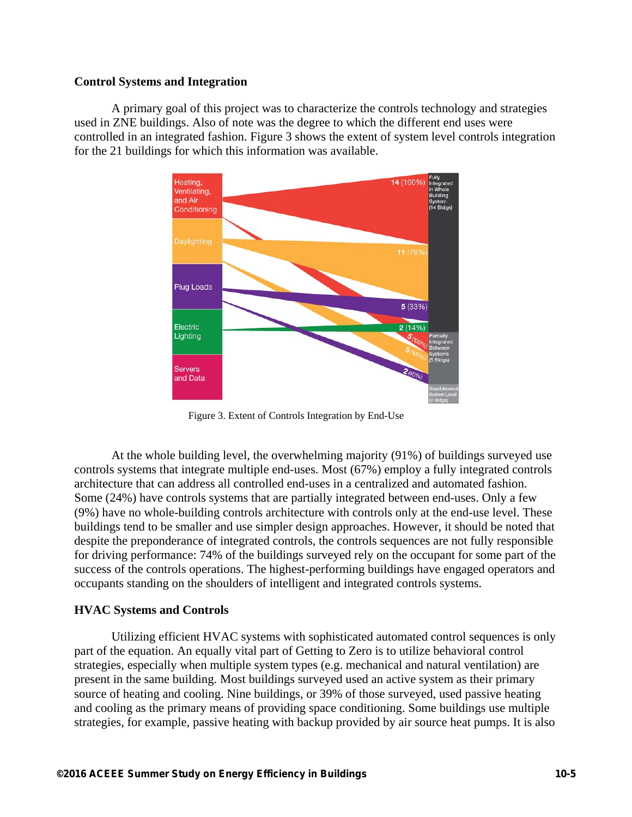## **Control Systems and Integration**

A primary goal of this project was to characterize the controls technology and strategies used in ZNE buildings. Also of note was the degree to which the different end uses were controlled in an integrated fashion. Figure 3 shows the extent of system level controls integration for the 21 buildings for which this information was available.



Figure 3. Extent of Controls Integration by End-Use

At the whole building level, the overwhelming majority (91%) of buildings surveyed use controls systems that integrate multiple end-uses. Most (67%) employ a fully integrated controls architecture that can address all controlled end-uses in a centralized and automated fashion. Some (24%) have controls systems that are partially integrated between end-uses. Only a few (9%) have no whole-building controls architecture with controls only at the end-use level. These buildings tend to be smaller and use simpler design approaches. However, it should be noted that despite the preponderance of integrated controls, the controls sequences are not fully responsible for driving performance: 74% of the buildings surveyed rely on the occupant for some part of the success of the controls operations. The highest-performing buildings have engaged operators and occupants standing on the shoulders of intelligent and integrated controls systems.

## **HVAC Systems and Controls**

Utilizing efficient HVAC systems with sophisticated automated control sequences is only part of the equation. An equally vital part of Getting to Zero is to utilize behavioral control strategies, especially when multiple system types (e.g. mechanical and natural ventilation) are present in the same building. Most buildings surveyed used an active system as their primary source of heating and cooling. Nine buildings, or 39% of those surveyed, used passive heating and cooling as the primary means of providing space conditioning. Some buildings use multiple strategies, for example, passive heating with backup provided by air source heat pumps. It is also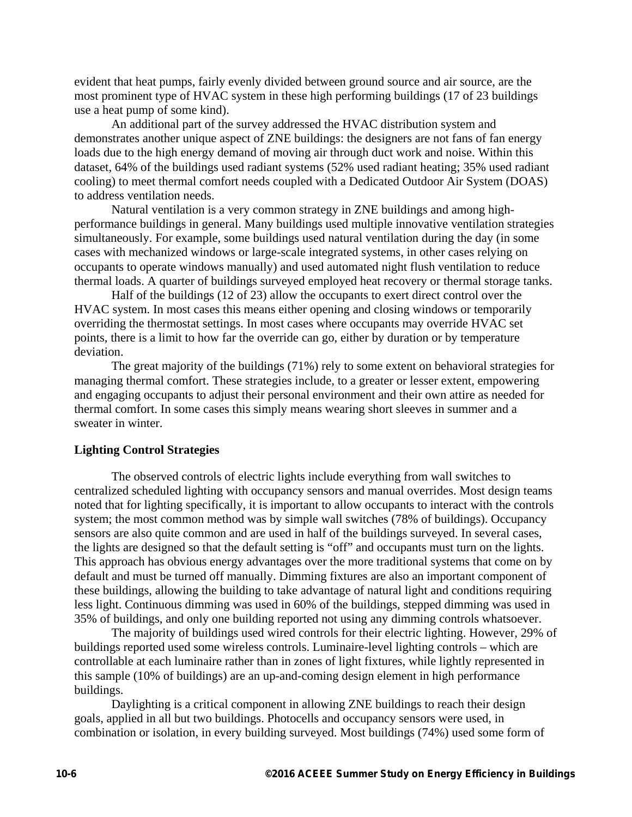evident that heat pumps, fairly evenly divided between ground source and air source, are the most prominent type of HVAC system in these high performing buildings (17 of 23 buildings use a heat pump of some kind).

An additional part of the survey addressed the HVAC distribution system and demonstrates another unique aspect of ZNE buildings: the designers are not fans of fan energy loads due to the high energy demand of moving air through duct work and noise. Within this dataset, 64% of the buildings used radiant systems (52% used radiant heating; 35% used radiant cooling) to meet thermal comfort needs coupled with a Dedicated Outdoor Air System (DOAS) to address ventilation needs.

Natural ventilation is a very common strategy in ZNE buildings and among highperformance buildings in general. Many buildings used multiple innovative ventilation strategies simultaneously. For example, some buildings used natural ventilation during the day (in some cases with mechanized windows or large-scale integrated systems, in other cases relying on occupants to operate windows manually) and used automated night flush ventilation to reduce thermal loads. A quarter of buildings surveyed employed heat recovery or thermal storage tanks.

Half of the buildings (12 of 23) allow the occupants to exert direct control over the HVAC system. In most cases this means either opening and closing windows or temporarily overriding the thermostat settings. In most cases where occupants may override HVAC set points, there is a limit to how far the override can go, either by duration or by temperature deviation.

The great majority of the buildings (71%) rely to some extent on behavioral strategies for managing thermal comfort. These strategies include, to a greater or lesser extent, empowering and engaging occupants to adjust their personal environment and their own attire as needed for thermal comfort. In some cases this simply means wearing short sleeves in summer and a sweater in winter.

#### **Lighting Control Strategies**

The observed controls of electric lights include everything from wall switches to centralized scheduled lighting with occupancy sensors and manual overrides. Most design teams noted that for lighting specifically, it is important to allow occupants to interact with the controls system; the most common method was by simple wall switches (78% of buildings). Occupancy sensors are also quite common and are used in half of the buildings surveyed. In several cases, the lights are designed so that the default setting is "off" and occupants must turn on the lights. This approach has obvious energy advantages over the more traditional systems that come on by default and must be turned off manually. Dimming fixtures are also an important component of these buildings, allowing the building to take advantage of natural light and conditions requiring less light. Continuous dimming was used in 60% of the buildings, stepped dimming was used in 35% of buildings, and only one building reported not using any dimming controls whatsoever.

The majority of buildings used wired controls for their electric lighting. However, 29% of buildings reported used some wireless controls. Luminaire-level lighting controls – which are controllable at each luminaire rather than in zones of light fixtures, while lightly represented in this sample (10% of buildings) are an up-and-coming design element in high performance buildings.

Daylighting is a critical component in allowing ZNE buildings to reach their design goals, applied in all but two buildings. Photocells and occupancy sensors were used, in combination or isolation, in every building surveyed. Most buildings (74%) used some form of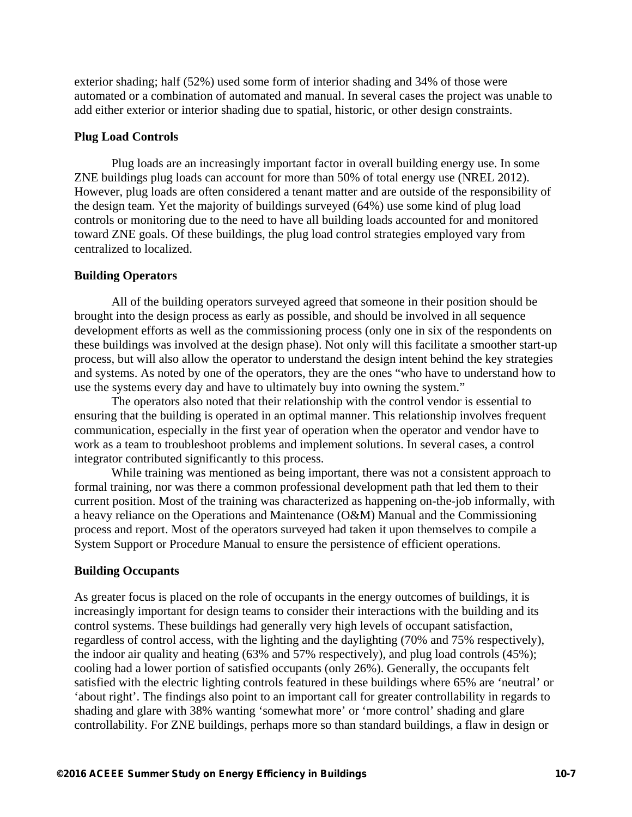exterior shading; half (52%) used some form of interior shading and 34% of those were automated or a combination of automated and manual. In several cases the project was unable to add either exterior or interior shading due to spatial, historic, or other design constraints.

#### **Plug Load Controls**

Plug loads are an increasingly important factor in overall building energy use. In some ZNE buildings plug loads can account for more than 50% of total energy use (NREL 2012). However, plug loads are often considered a tenant matter and are outside of the responsibility of the design team. Yet the majority of buildings surveyed (64%) use some kind of plug load controls or monitoring due to the need to have all building loads accounted for and monitored toward ZNE goals. Of these buildings, the plug load control strategies employed vary from centralized to localized.

#### **Building Operators**

All of the building operators surveyed agreed that someone in their position should be brought into the design process as early as possible, and should be involved in all sequence development efforts as well as the commissioning process (only one in six of the respondents on these buildings was involved at the design phase). Not only will this facilitate a smoother start-up process, but will also allow the operator to understand the design intent behind the key strategies and systems. As noted by one of the operators, they are the ones "who have to understand how to use the systems every day and have to ultimately buy into owning the system."

The operators also noted that their relationship with the control vendor is essential to ensuring that the building is operated in an optimal manner. This relationship involves frequent communication, especially in the first year of operation when the operator and vendor have to work as a team to troubleshoot problems and implement solutions. In several cases, a control integrator contributed significantly to this process.

While training was mentioned as being important, there was not a consistent approach to formal training, nor was there a common professional development path that led them to their current position. Most of the training was characterized as happening on-the-job informally, with a heavy reliance on the Operations and Maintenance (O&M) Manual and the Commissioning process and report. Most of the operators surveyed had taken it upon themselves to compile a System Support or Procedure Manual to ensure the persistence of efficient operations.

#### **Building Occupants**

As greater focus is placed on the role of occupants in the energy outcomes of buildings, it is increasingly important for design teams to consider their interactions with the building and its control systems. These buildings had generally very high levels of occupant satisfaction, regardless of control access, with the lighting and the daylighting (70% and 75% respectively), the indoor air quality and heating (63% and 57% respectively), and plug load controls (45%); cooling had a lower portion of satisfied occupants (only 26%). Generally, the occupants felt satisfied with the electric lighting controls featured in these buildings where 65% are 'neutral' or 'about right'. The findings also point to an important call for greater controllability in regards to shading and glare with 38% wanting 'somewhat more' or 'more control' shading and glare controllability. For ZNE buildings, perhaps more so than standard buildings, a flaw in design or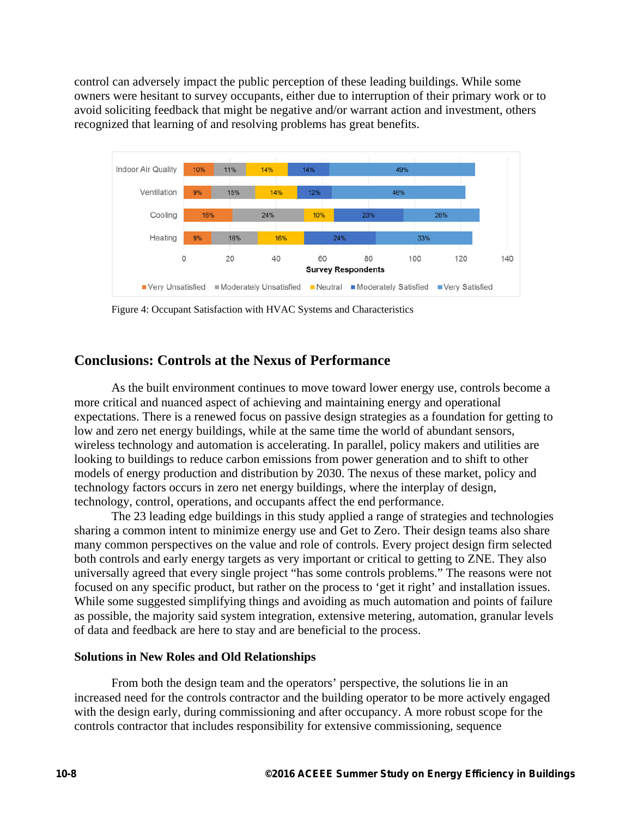control can adversely impact the public perception of these leading buildings. While some owners were hesitant to survey occupants, either due to interruption of their primary work or to avoid soliciting feedback that might be negative and/or warrant action and investment, others recognized that learning of and resolving problems has great benefits.



Figure 4: Occupant Satisfaction with HVAC Systems and Characteristics

## **Conclusions: Controls at the Nexus of Performance**

As the built environment continues to move toward lower energy use, controls become a more critical and nuanced aspect of achieving and maintaining energy and operational expectations. There is a renewed focus on passive design strategies as a foundation for getting to low and zero net energy buildings, while at the same time the world of abundant sensors, wireless technology and automation is accelerating. In parallel, policy makers and utilities are looking to buildings to reduce carbon emissions from power generation and to shift to other models of energy production and distribution by 2030. The nexus of these market, policy and technology factors occurs in zero net energy buildings, where the interplay of design, technology, control, operations, and occupants affect the end performance.

The 23 leading edge buildings in this study applied a range of strategies and technologies sharing a common intent to minimize energy use and Get to Zero. Their design teams also share many common perspectives on the value and role of controls. Every project design firm selected both controls and early energy targets as very important or critical to getting to ZNE. They also universally agreed that every single project "has some controls problems." The reasons were not focused on any specific product, but rather on the process to 'get it right' and installation issues. While some suggested simplifying things and avoiding as much automation and points of failure as possible, the majority said system integration, extensive metering, automation, granular levels of data and feedback are here to stay and are beneficial to the process.

#### **Solutions in New Roles and Old Relationships**

From both the design team and the operators' perspective, the solutions lie in an increased need for the controls contractor and the building operator to be more actively engaged with the design early, during commissioning and after occupancy. A more robust scope for the controls contractor that includes responsibility for extensive commissioning, sequence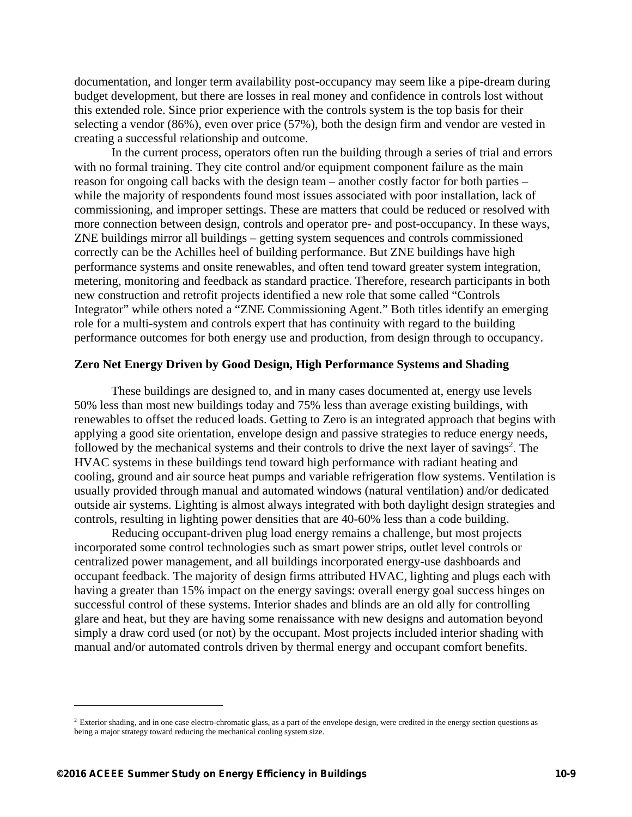documentation, and longer term availability post-occupancy may seem like a pipe-dream during budget development, but there are losses in real money and confidence in controls lost without this extended role. Since prior experience with the controls system is the top basis for their selecting a vendor (86%), even over price (57%), both the design firm and vendor are vested in creating a successful relationship and outcome.

In the current process, operators often run the building through a series of trial and errors with no formal training. They cite control and/or equipment component failure as the main reason for ongoing call backs with the design team – another costly factor for both parties – while the majority of respondents found most issues associated with poor installation, lack of commissioning, and improper settings. These are matters that could be reduced or resolved with more connection between design, controls and operator pre- and post-occupancy. In these ways, ZNE buildings mirror all buildings – getting system sequences and controls commissioned correctly can be the Achilles heel of building performance. But ZNE buildings have high performance systems and onsite renewables, and often tend toward greater system integration, metering, monitoring and feedback as standard practice. Therefore, research participants in both new construction and retrofit projects identified a new role that some called "Controls Integrator" while others noted a "ZNE Commissioning Agent." Both titles identify an emerging role for a multi-system and controls expert that has continuity with regard to the building performance outcomes for both energy use and production, from design through to occupancy.

### **Zero Net Energy Driven by Good Design, High Performance Systems and Shading**

These buildings are designed to, and in many cases documented at, energy use levels 50% less than most new buildings today and 75% less than average existing buildings, with renewables to offset the reduced loads. Getting to Zero is an integrated approach that begins with applying a good site orientation, envelope design and passive strategies to reduce energy needs, followed by the mechanical systems and their controls to drive the next layer of savings<sup>2</sup>. The HVAC systems in these buildings tend toward high performance with radiant heating and cooling, ground and air source heat pumps and variable refrigeration flow systems. Ventilation is usually provided through manual and automated windows (natural ventilation) and/or dedicated outside air systems. Lighting is almost always integrated with both daylight design strategies and controls, resulting in lighting power densities that are 40-60% less than a code building.

Reducing occupant-driven plug load energy remains a challenge, but most projects incorporated some control technologies such as smart power strips, outlet level controls or centralized power management, and all buildings incorporated energy-use dashboards and occupant feedback. The majority of design firms attributed HVAC, lighting and plugs each with having a greater than 15% impact on the energy savings: overall energy goal success hinges on successful control of these systems. Interior shades and blinds are an old ally for controlling glare and heat, but they are having some renaissance with new designs and automation beyond simply a draw cord used (or not) by the occupant. Most projects included interior shading with manual and/or automated controls driven by thermal energy and occupant comfort benefits.

1

<sup>&</sup>lt;sup>2</sup> Exterior shading, and in one case electro-chromatic glass, as a part of the envelope design, were credited in the energy section questions as being a major strategy toward reducing the mechanical cooling system size.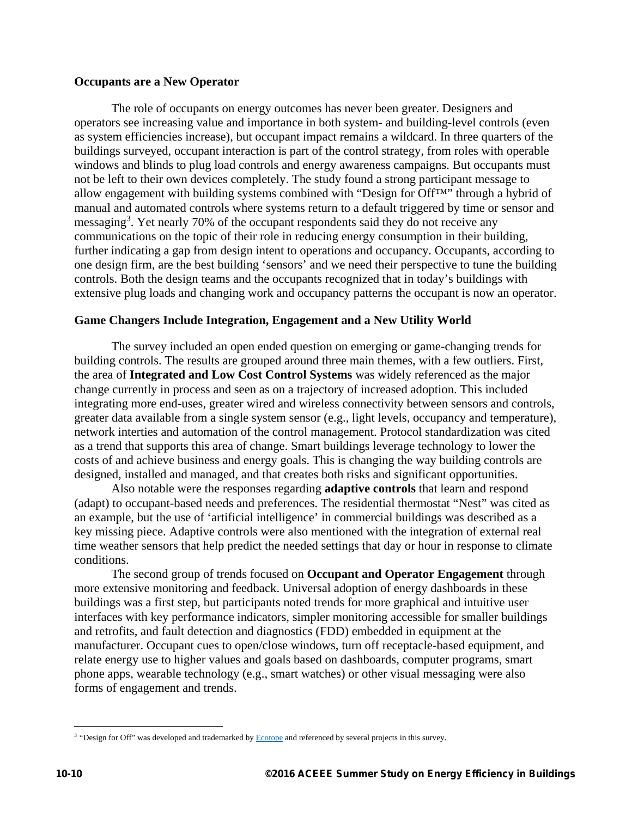### **Occupants are a New Operator**

The role of occupants on energy outcomes has never been greater. Designers and operators see increasing value and importance in both system- and building-level controls (even as system efficiencies increase), but occupant impact remains a wildcard. In three quarters of the buildings surveyed, occupant interaction is part of the control strategy, from roles with operable windows and blinds to plug load controls and energy awareness campaigns. But occupants must not be left to their own devices completely. The study found a strong participant message to allow engagement with building systems combined with "Design for Off™" through a hybrid of manual and automated controls where systems return to a default triggered by time or sensor and messaging<sup>3</sup>. Yet nearly 70% of the occupant respondents said they do not receive any communications on the topic of their role in reducing energy consumption in their building, further indicating a gap from design intent to operations and occupancy. Occupants, according to one design firm, are the best building 'sensors' and we need their perspective to tune the building controls. Both the design teams and the occupants recognized that in today's buildings with extensive plug loads and changing work and occupancy patterns the occupant is now an operator.

## **Game Changers Include Integration, Engagement and a New Utility World**

The survey included an open ended question on emerging or game-changing trends for building controls. The results are grouped around three main themes, with a few outliers. First, the area of **Integrated and Low Cost Control Systems** was widely referenced as the major change currently in process and seen as on a trajectory of increased adoption. This included integrating more end-uses, greater wired and wireless connectivity between sensors and controls, greater data available from a single system sensor (e.g., light levels, occupancy and temperature), network interties and automation of the control management. Protocol standardization was cited as a trend that supports this area of change. Smart buildings leverage technology to lower the costs of and achieve business and energy goals. This is changing the way building controls are designed, installed and managed, and that creates both risks and significant opportunities.

Also notable were the responses regarding **adaptive controls** that learn and respond (adapt) to occupant-based needs and preferences. The residential thermostat "Nest" was cited as an example, but the use of 'artificial intelligence' in commercial buildings was described as a key missing piece. Adaptive controls were also mentioned with the integration of external real time weather sensors that help predict the needed settings that day or hour in response to climate conditions.

The second group of trends focused on **Occupant and Operator Engagement** through more extensive monitoring and feedback. Universal adoption of energy dashboards in these buildings was a first step, but participants noted trends for more graphical and intuitive user interfaces with key performance indicators, simpler monitoring accessible for smaller buildings and retrofits, and fault detection and diagnostics (FDD) embedded in equipment at the manufacturer. Occupant cues to open/close windows, turn off receptacle-based equipment, and relate energy use to higher values and goals based on dashboards, computer programs, smart phone apps, wearable technology (e.g., smart watches) or other visual messaging were also forms of engagement and trends.

 $\overline{a}$ 

<sup>&</sup>lt;sup>3</sup> "Design for Off" was developed and trademarked by **Ecotope** and referenced by several projects in this survey.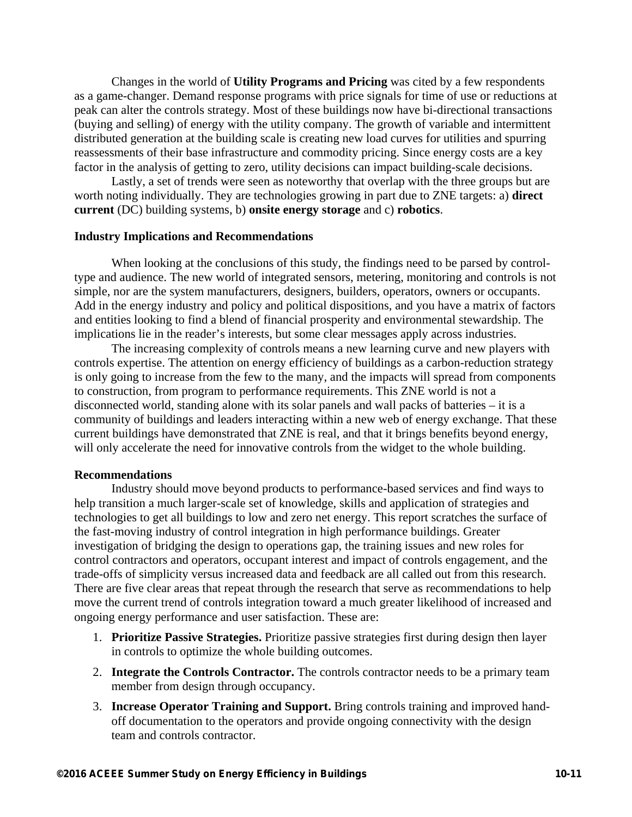Changes in the world of **Utility Programs and Pricing** was cited by a few respondents as a game-changer. Demand response programs with price signals for time of use or reductions at peak can alter the controls strategy. Most of these buildings now have bi-directional transactions (buying and selling) of energy with the utility company. The growth of variable and intermittent distributed generation at the building scale is creating new load curves for utilities and spurring reassessments of their base infrastructure and commodity pricing. Since energy costs are a key factor in the analysis of getting to zero, utility decisions can impact building-scale decisions.

Lastly, a set of trends were seen as noteworthy that overlap with the three groups but are worth noting individually. They are technologies growing in part due to ZNE targets: a) **direct current** (DC) building systems, b) **onsite energy storage** and c) **robotics**.

#### **Industry Implications and Recommendations**

When looking at the conclusions of this study, the findings need to be parsed by controltype and audience. The new world of integrated sensors, metering, monitoring and controls is not simple, nor are the system manufacturers, designers, builders, operators, owners or occupants. Add in the energy industry and policy and political dispositions, and you have a matrix of factors and entities looking to find a blend of financial prosperity and environmental stewardship. The implications lie in the reader's interests, but some clear messages apply across industries.

The increasing complexity of controls means a new learning curve and new players with controls expertise. The attention on energy efficiency of buildings as a carbon-reduction strategy is only going to increase from the few to the many, and the impacts will spread from components to construction, from program to performance requirements. This ZNE world is not a disconnected world, standing alone with its solar panels and wall packs of batteries – it is a community of buildings and leaders interacting within a new web of energy exchange. That these current buildings have demonstrated that ZNE is real, and that it brings benefits beyond energy, will only accelerate the need for innovative controls from the widget to the whole building.

#### **Recommendations**

Industry should move beyond products to performance-based services and find ways to help transition a much larger-scale set of knowledge, skills and application of strategies and technologies to get all buildings to low and zero net energy. This report scratches the surface of the fast-moving industry of control integration in high performance buildings. Greater investigation of bridging the design to operations gap, the training issues and new roles for control contractors and operators, occupant interest and impact of controls engagement, and the trade-offs of simplicity versus increased data and feedback are all called out from this research. There are five clear areas that repeat through the research that serve as recommendations to help move the current trend of controls integration toward a much greater likelihood of increased and ongoing energy performance and user satisfaction. These are:

- 1. **Prioritize Passive Strategies.** Prioritize passive strategies first during design then layer in controls to optimize the whole building outcomes.
- 2. **Integrate the Controls Contractor.** The controls contractor needs to be a primary team member from design through occupancy.
- 3. **Increase Operator Training and Support.** Bring controls training and improved handoff documentation to the operators and provide ongoing connectivity with the design team and controls contractor.